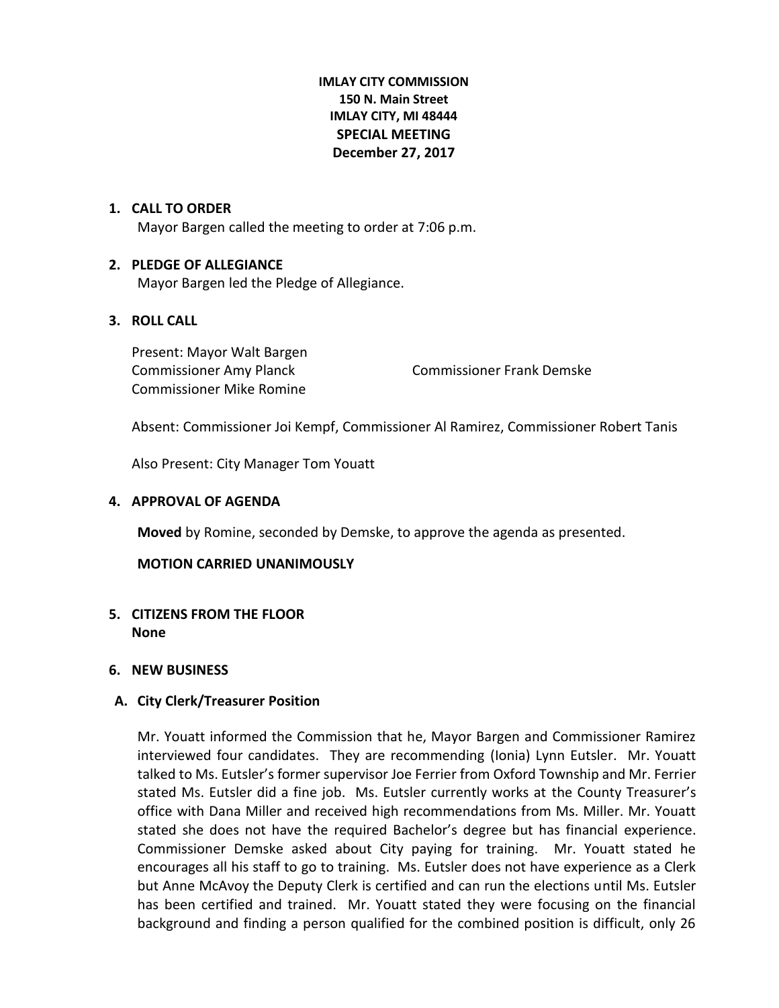## **IMLAY CITY COMMISSION 150 N. Main Street IMLAY CITY, MI 48444 SPECIAL MEETING December 27, 2017**

## **1. CALL TO ORDER**

Mayor Bargen called the meeting to order at 7:06 p.m.

### **2. PLEDGE OF ALLEGIANCE**

Mayor Bargen led the Pledge of Allegiance.

### **3. ROLL CALL**

Present: Mayor Walt Bargen Commissioner Mike Romine

Commissioner Amy Planck Commissioner Frank Demske

Absent: Commissioner Joi Kempf, Commissioner Al Ramirez, Commissioner Robert Tanis

Also Present: City Manager Tom Youatt

### **4. APPROVAL OF AGENDA**

**Moved** by Romine, seconded by Demske, to approve the agenda as presented.

## **MOTION CARRIED UNANIMOUSLY**

# **5. CITIZENS FROM THE FLOOR None**

### **6. NEW BUSINESS**

## **A. City Clerk/Treasurer Position**

Mr. Youatt informed the Commission that he, Mayor Bargen and Commissioner Ramirez interviewed four candidates. They are recommending (Ionia) Lynn Eutsler. Mr. Youatt talked to Ms. Eutsler's former supervisor Joe Ferrier from Oxford Township and Mr. Ferrier stated Ms. Eutsler did a fine job. Ms. Eutsler currently works at the County Treasurer's office with Dana Miller and received high recommendations from Ms. Miller. Mr. Youatt stated she does not have the required Bachelor's degree but has financial experience. Commissioner Demske asked about City paying for training. Mr. Youatt stated he encourages all his staff to go to training. Ms. Eutsler does not have experience as a Clerk but Anne McAvoy the Deputy Clerk is certified and can run the elections until Ms. Eutsler has been certified and trained. Mr. Youatt stated they were focusing on the financial background and finding a person qualified for the combined position is difficult, only 26